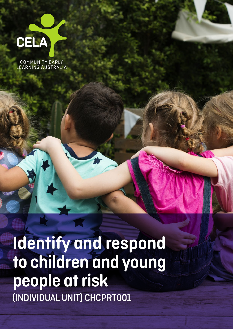

COMMUNITY EARLY<br>LEARNING AUSTRALIA

Identify and respond to children and young people at risk (INDIVIDUAL UNIT) CHCPRT001